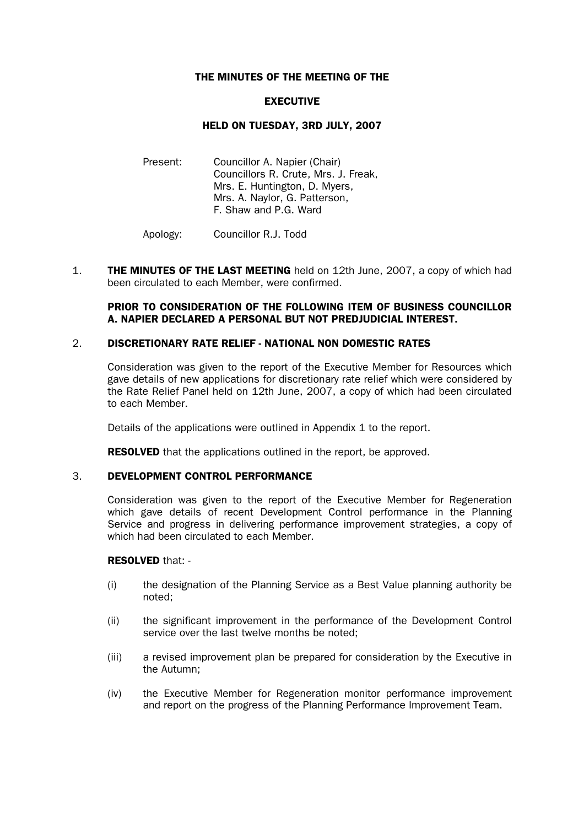## THE MINUTES OF THE MEETING OF THE

## EXECUTIVE

## HELD ON TUESDAY, 3RD JULY, 2007

Present: Councillor A. Napier (Chair) Councillors R. Crute, Mrs. J. Freak, Mrs. E. Huntington, D. Myers, Mrs. A. Naylor, G. Patterson, F. Shaw and P.G. Ward

Apology: Councillor R.J. Todd

1. **THE MINUTES OF THE LAST MEETING** held on 12th June, 2007, a copy of which had been circulated to each Member, were confirmed.

## PRIOR TO CONSIDERATION OF THE FOLLOWING ITEM OF BUSINESS COUNCILLOR A. NAPIER DECLARED A PERSONAL BUT NOT PREDJUDICIAL INTEREST.

## 2. DISCRETIONARY RATE RELIEF - NATIONAL NON DOMESTIC RATES

Consideration was given to the report of the Executive Member for Resources which gave details of new applications for discretionary rate relief which were considered by the Rate Relief Panel held on 12th June, 2007, a copy of which had been circulated to each Member.

Details of the applications were outlined in Appendix 1 to the report.

**RESOLVED** that the applications outlined in the report, be approved.

#### 3. DEVELOPMENT CONTROL PERFORMANCE

Consideration was given to the report of the Executive Member for Regeneration which gave details of recent Development Control performance in the Planning Service and progress in delivering performance improvement strategies, a copy of which had been circulated to each Member.

#### RESOLVED that: -

- (i) the designation of the Planning Service as a Best Value planning authority be noted;
- (ii) the significant improvement in the performance of the Development Control service over the last twelve months be noted;
- (iii) a revised improvement plan be prepared for consideration by the Executive in the Autumn;
- (iv) the Executive Member for Regeneration monitor performance improvement and report on the progress of the Planning Performance Improvement Team.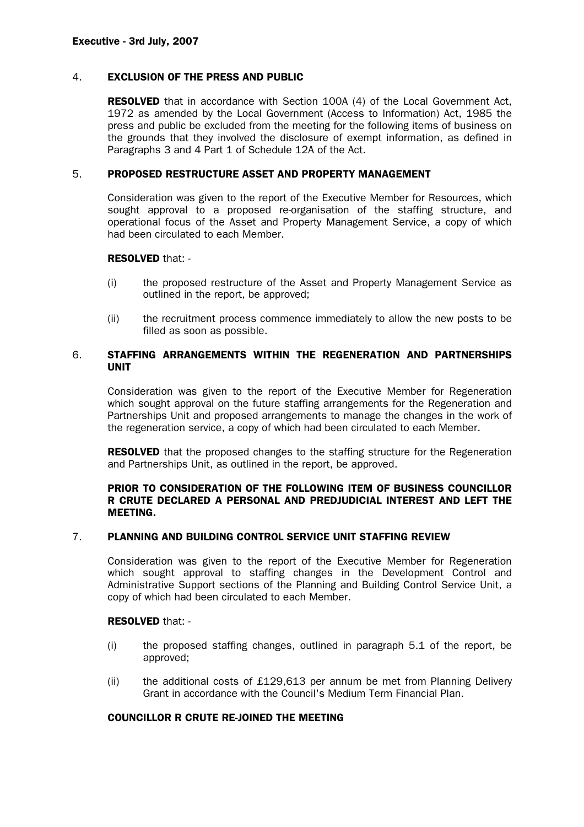#### 4. EXCLUSION OF THE PRESS AND PUBLIC

RESOLVED that in accordance with Section 100A (4) of the Local Government Act, 1972 as amended by the Local Government (Access to Information) Act, 1985 the press and public be excluded from the meeting for the following items of business on the grounds that they involved the disclosure of exempt information, as defined in Paragraphs 3 and 4 Part 1 of Schedule 12A of the Act.

#### 5. PROPOSED RESTRUCTURE ASSET AND PROPERTY MANAGEMENT

Consideration was given to the report of the Executive Member for Resources, which sought approval to a proposed re-organisation of the staffing structure, and operational focus of the Asset and Property Management Service, a copy of which had been circulated to each Member.

#### RESOLVED that: -

- (i) the proposed restructure of the Asset and Property Management Service as outlined in the report, be approved;
- (ii) the recruitment process commence immediately to allow the new posts to be filled as soon as possible.

# 6. STAFFING ARRANGEMENTS WITHIN THE REGENERATION AND PARTNERSHIPS UNIT

Consideration was given to the report of the Executive Member for Regeneration which sought approval on the future staffing arrangements for the Regeneration and Partnerships Unit and proposed arrangements to manage the changes in the work of the regeneration service, a copy of which had been circulated to each Member.

**RESOLVED** that the proposed changes to the staffing structure for the Regeneration and Partnerships Unit, as outlined in the report, be approved.

## PRIOR TO CONSIDERATION OF THE FOLLOWING ITEM OF BUSINESS COUNCILLOR R CRUTE DECLARED A PERSONAL AND PREDJUDICIAL INTEREST AND LEFT THE MEETING.

# 7. PLANNING AND BUILDING CONTROL SERVICE UNIT STAFFING REVIEW

Consideration was given to the report of the Executive Member for Regeneration which sought approval to staffing changes in the Development Control and Administrative Support sections of the Planning and Building Control Service Unit, a copy of which had been circulated to each Member.

#### RESOLVED that: -

- (i) the proposed staffing changes, outlined in paragraph 5.1 of the report, be approved;
- (ii) the additional costs of £129,613 per annum be met from Planning Delivery Grant in accordance with the Council's Medium Term Financial Plan.

## COUNCILLOR R CRUTE RE-JOINED THE MEETING